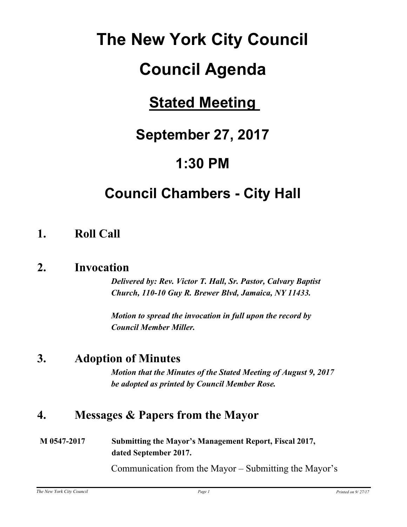# **The New York City Council**

# **Council Agenda**

# **Stated Meeting**

# **September 27, 2017**

# **1:30 PM**

# **Council Chambers - City Hall**

### **1. Roll Call**

### **2. Invocation**

*Delivered by: Rev. Victor T. Hall, Sr. Pastor, Calvary Baptist Church, 110-10 Guy R. Brewer Blvd, Jamaica, NY 11433.*

*Motion to spread the invocation in full upon the record by Council Member Miller.*

### **3. Adoption of Minutes**

*Motion that the Minutes of the Stated Meeting of August 9, 2017 be adopted as printed by Council Member Rose.*

### **4. Messages & Papers from the Mayor**

**M 0547-2017 Submitting the Mayor's Management Report, Fiscal 2017, dated September 2017.**

Communication from the Mayor – Submitting the Mayor's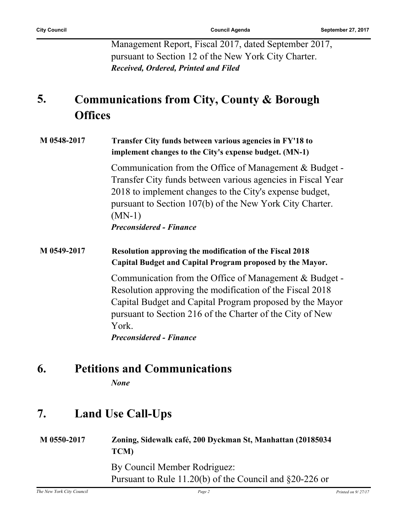Management Report, Fiscal 2017, dated September 2017, pursuant to Section 12 of the New York City Charter. *Received, Ordered, Printed and Filed*

#### **Communications from City, County & Borough Offices 5.**

**M 0548-2017 Transfer City funds between various agencies in FY'18 to implement changes to the City's expense budget. (MN-1)** Communication from the Office of Management & Budget -

Transfer City funds between various agencies in Fiscal Year 2018 to implement changes to the City's expense budget, pursuant to Section 107(b) of the New York City Charter. (MN-1) *Preconsidered - Finance*

#### **M 0549-2017 Resolution approving the modification of the Fiscal 2018 Capital Budget and Capital Program proposed by the Mayor.**

Communication from the Office of Management & Budget - Resolution approving the modification of the Fiscal 2018 Capital Budget and Capital Program proposed by the Mayor pursuant to Section 216 of the Charter of the City of New York. *Preconsidered - Finance*

### **6. Petitions and Communications**

*None*

### **7. Land Use Call-Ups**

| M 0550-2017 | Zoning, Sidewalk café, 200 Dyckman St, Manhattan (20185034)<br><b>TCM</b>                   |
|-------------|---------------------------------------------------------------------------------------------|
|             | By Council Member Rodriguez:<br>Pursuant to Rule 11.20(b) of the Council and $\S 20-226$ or |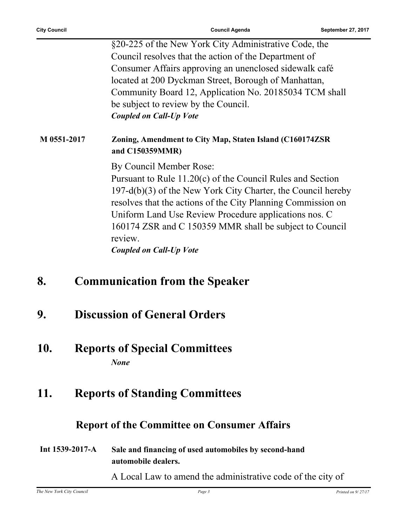§20-225 of the New York City Administrative Code, the Council resolves that the action of the Department of Consumer Affairs approving an unenclosed sidewalk café located at 200 Dyckman Street, Borough of Manhattan, Community Board 12, Application No. 20185034 TCM shall be subject to review by the Council. *Coupled on Call-Up Vote*

#### **M 0551-2017 Zoning, Amendment to City Map, Staten Island (C160174ZSR and C150359MMR)**

By Council Member Rose:

Pursuant to Rule 11.20(c) of the Council Rules and Section 197-d(b)(3) of the New York City Charter, the Council hereby resolves that the actions of the City Planning Commission on Uniform Land Use Review Procedure applications nos. C 160174 ZSR and C 150359 MMR shall be subject to Council review.

*Coupled on Call-Up Vote*

- **8. Communication from the Speaker**
- **9. Discussion of General Orders**

#### **10. Reports of Special Committees** *None*

### **11. Reports of Standing Committees**

### **Report of the Committee on Consumer Affairs**

#### **Int 1539-2017-A Sale and financing of used automobiles by second-hand automobile dealers.**

A Local Law to amend the administrative code of the city of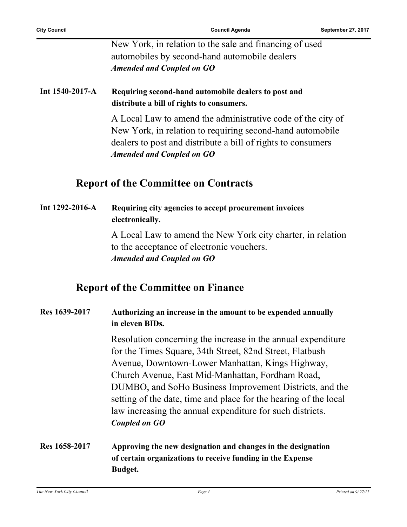New York, in relation to the sale and financing of used automobiles by second-hand automobile dealers *Amended and Coupled on GO*

#### **Int 1540-2017-A Requiring second-hand automobile dealers to post and distribute a bill of rights to consumers.**

A Local Law to amend the administrative code of the city of New York, in relation to requiring second-hand automobile dealers to post and distribute a bill of rights to consumers *Amended and Coupled on GO*

#### **Report of the Committee on Contracts**

#### **Int 1292-2016-A Requiring city agencies to accept procurement invoices electronically.**

A Local Law to amend the New York city charter, in relation to the acceptance of electronic vouchers. *Amended and Coupled on GO*

#### **Report of the Committee on Finance**

#### **Res 1639-2017 Authorizing an increase in the amount to be expended annually in eleven BIDs.**

Resolution concerning the increase in the annual expenditure for the Times Square, 34th Street, 82nd Street, Flatbush Avenue, Downtown-Lower Manhattan, Kings Highway, Church Avenue, East Mid-Manhattan, Fordham Road, DUMBO, and SoHo Business Improvement Districts, and the setting of the date, time and place for the hearing of the local law increasing the annual expenditure for such districts. *Coupled on GO*

#### **Res 1658-2017 Approving the new designation and changes in the designation of certain organizations to receive funding in the Expense Budget.**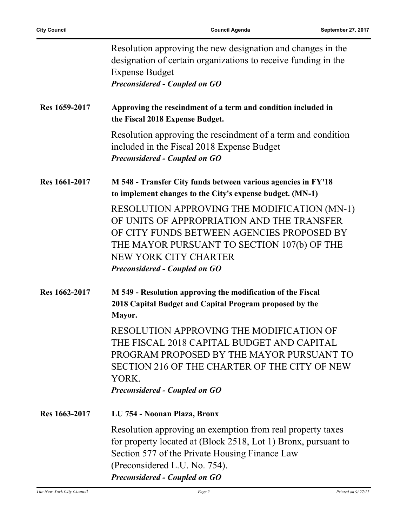|               | Resolution approving the new designation and changes in the<br>designation of certain organizations to receive funding in the<br><b>Expense Budget</b><br><b>Preconsidered - Coupled on GO</b>                                                           |
|---------------|----------------------------------------------------------------------------------------------------------------------------------------------------------------------------------------------------------------------------------------------------------|
| Res 1659-2017 | Approving the rescindment of a term and condition included in<br>the Fiscal 2018 Expense Budget.                                                                                                                                                         |
|               | Resolution approving the rescindment of a term and condition<br>included in the Fiscal 2018 Expense Budget<br><b>Preconsidered - Coupled on GO</b>                                                                                                       |
| Res 1661-2017 | M 548 - Transfer City funds between various agencies in FY'18<br>to implement changes to the City's expense budget. (MN-1)                                                                                                                               |
|               | RESOLUTION APPROVING THE MODIFICATION (MN-1)<br>OF UNITS OF APPROPRIATION AND THE TRANSFER<br>OF CITY FUNDS BETWEEN AGENCIES PROPOSED BY<br>THE MAYOR PURSUANT TO SECTION 107(b) OF THE<br>NEW YORK CITY CHARTER<br><b>Preconsidered - Coupled on GO</b> |
| Res 1662-2017 | M 549 - Resolution approving the modification of the Fiscal<br>2018 Capital Budget and Capital Program proposed by the<br>Mayor.                                                                                                                         |
|               | RESOLUTION APPROVING THE MODIFICATION OF<br>THE FISCAL 2018 CAPITAL BUDGET AND CAPITAL<br>PROGRAM PROPOSED BY THE MAYOR PURSUANT TO<br>SECTION 216 OF THE CHARTER OF THE CITY OF NEW<br>YORK.<br><b>Preconsidered - Coupled on GO</b>                    |
| Res 1663-2017 | LU 754 - Noonan Plaza, Bronx                                                                                                                                                                                                                             |
|               | Resolution approving an exemption from real property taxes<br>for property located at (Block 2518, Lot 1) Bronx, pursuant to<br>Section 577 of the Private Housing Finance Law<br>(Preconsidered L.U. No. 754).<br><b>Preconsidered - Coupled on GO</b>  |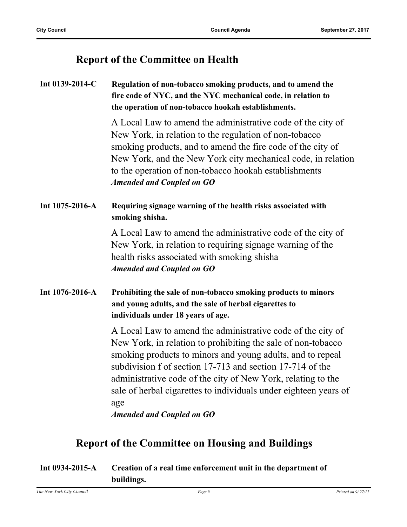### **Report of the Committee on Health**

| Int 0139-2014-C | Regulation of non-tobacco smoking products, and to amend the<br>fire code of NYC, and the NYC mechanical code, in relation to<br>the operation of non-tobacco hookah establishments.                                                                                                                                                                                                                                                  |
|-----------------|---------------------------------------------------------------------------------------------------------------------------------------------------------------------------------------------------------------------------------------------------------------------------------------------------------------------------------------------------------------------------------------------------------------------------------------|
|                 | A Local Law to amend the administrative code of the city of<br>New York, in relation to the regulation of non-tobacco<br>smoking products, and to amend the fire code of the city of<br>New York, and the New York city mechanical code, in relation<br>to the operation of non-tobacco hookah establishments<br><b>Amended and Coupled on GO</b>                                                                                     |
| Int 1075-2016-A | Requiring signage warning of the health risks associated with<br>smoking shisha.                                                                                                                                                                                                                                                                                                                                                      |
|                 | A Local Law to amend the administrative code of the city of<br>New York, in relation to requiring signage warning of the<br>health risks associated with smoking shisha<br><b>Amended and Coupled on GO</b>                                                                                                                                                                                                                           |
| Int 1076-2016-A | Prohibiting the sale of non-tobacco smoking products to minors<br>and young adults, and the sale of herbal cigarettes to<br>individuals under 18 years of age.                                                                                                                                                                                                                                                                        |
|                 | A Local Law to amend the administrative code of the city of<br>New York, in relation to prohibiting the sale of non-tobacco<br>smoking products to minors and young adults, and to repeal<br>subdivision f of section 17-713 and section 17-714 of the<br>administrative code of the city of New York, relating to the<br>sale of herbal cigarettes to individuals under eighteen years of<br>age<br><b>Amended and Coupled on GO</b> |

### **Report of the Committee on Housing and Buildings**

| Int $0934 - 2015 - A$ | Creation of a real time enforcement unit in the department of |
|-----------------------|---------------------------------------------------------------|
|                       | buildings.                                                    |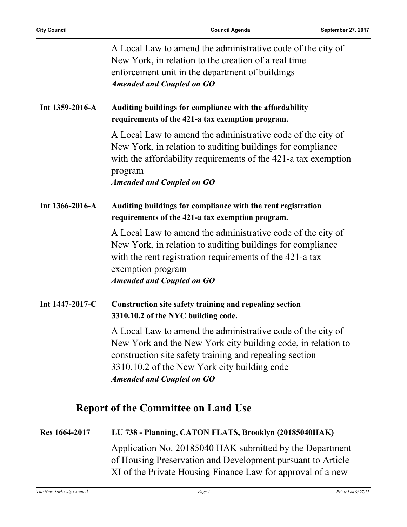|                                            | A Local Law to amend the administrative code of the city of<br>New York, in relation to the creation of a real time<br>enforcement unit in the department of buildings<br><b>Amended and Coupled on GO</b>                                                                 |
|--------------------------------------------|----------------------------------------------------------------------------------------------------------------------------------------------------------------------------------------------------------------------------------------------------------------------------|
| Int 1359-2016-A                            | Auditing buildings for compliance with the affordability<br>requirements of the 421-a tax exemption program.                                                                                                                                                               |
|                                            | A Local Law to amend the administrative code of the city of<br>New York, in relation to auditing buildings for compliance<br>with the affordability requirements of the 421-a tax exemption<br>program<br><b>Amended and Coupled on GO</b>                                 |
| Int 1366-2016-A                            | Auditing buildings for compliance with the rent registration<br>requirements of the 421-a tax exemption program.                                                                                                                                                           |
|                                            | A Local Law to amend the administrative code of the city of<br>New York, in relation to auditing buildings for compliance<br>with the rent registration requirements of the 421-a tax<br>exemption program<br><b>Amended and Coupled on GO</b>                             |
| Int 1447-2017-C                            | Construction site safety training and repealing section<br>3310.10.2 of the NYC building code.                                                                                                                                                                             |
|                                            | A Local Law to amend the administrative code of the city of<br>New York and the New York city building code, in relation to<br>construction site safety training and repealing section<br>3310.10.2 of the New York city building code<br><b>Amended and Coupled on GO</b> |
| <b>Report of the Committee on Land Use</b> |                                                                                                                                                                                                                                                                            |
| Res 1664-2017                              | LU 738 - Planning, CATON FLATS, Brooklyn (20185040HAK)                                                                                                                                                                                                                     |
|                                            | Application No. 20185040 HAK submitted by the Department<br>of Housing Preservation and Development pursuant to Article                                                                                                                                                    |

XI of the Private Housing Finance Law for approval of a new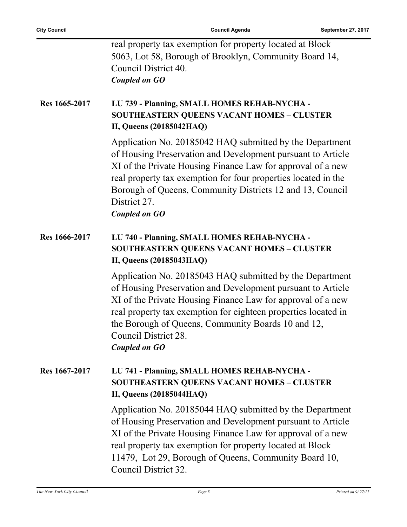| real property tax exemption for property located at Block |
|-----------------------------------------------------------|
| 5063, Lot 58, Borough of Brooklyn, Community Board 14,    |
| Council District 40.                                      |
| Coupled on GO                                             |

#### **Res 1665-2017 LU 739 - Planning, SMALL HOMES REHAB-NYCHA - SOUTHEASTERN QUEENS VACANT HOMES – CLUSTER II, Queens (20185042HAQ)**

Application No. 20185042 HAQ submitted by the Department of Housing Preservation and Development pursuant to Article XI of the Private Housing Finance Law for approval of a new real property tax exemption for four properties located in the Borough of Queens, Community Districts 12 and 13, Council District 27.

*Coupled on GO*

#### **Res 1666-2017 LU 740 - Planning, SMALL HOMES REHAB-NYCHA - SOUTHEASTERN QUEENS VACANT HOMES – CLUSTER II, Queens (20185043HAQ)**

Application No. 20185043 HAQ submitted by the Department of Housing Preservation and Development pursuant to Article XI of the Private Housing Finance Law for approval of a new real property tax exemption for eighteen properties located in the Borough of Queens, Community Boards 10 and 12, Council District 28. *Coupled on GO*

#### **Res 1667-2017 LU 741 - Planning, SMALL HOMES REHAB-NYCHA - SOUTHEASTERN QUEENS VACANT HOMES – CLUSTER II, Queens (20185044HAQ)**

Application No. 20185044 HAQ submitted by the Department of Housing Preservation and Development pursuant to Article XI of the Private Housing Finance Law for approval of a new real property tax exemption for property located at Block 11479, Lot 29, Borough of Queens, Community Board 10, Council District 32.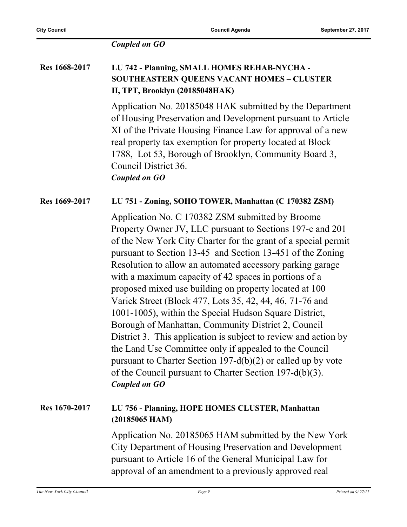#### *Coupled on GO*

#### **Res 1668-2017 LU 742 - Planning, SMALL HOMES REHAB-NYCHA - SOUTHEASTERN QUEENS VACANT HOMES – CLUSTER II, TPT, Brooklyn (20185048HAK)**

Application No. 20185048 HAK submitted by the Department of Housing Preservation and Development pursuant to Article XI of the Private Housing Finance Law for approval of a new real property tax exemption for property located at Block 1788, Lot 53, Borough of Brooklyn, Community Board 3, Council District 36. *Coupled on GO*

#### **Res 1669-2017 LU 751 - Zoning, SOHO TOWER, Manhattan (C 170382 ZSM)**

Application No. C 170382 ZSM submitted by Broome Property Owner JV, LLC pursuant to Sections 197-c and 201 of the New York City Charter for the grant of a special permit pursuant to Section 13-45 and Section 13-451 of the Zoning Resolution to allow an automated accessory parking garage with a maximum capacity of 42 spaces in portions of a proposed mixed use building on property located at 100 Varick Street (Block 477, Lots 35, 42, 44, 46, 71-76 and 1001-1005), within the Special Hudson Square District, Borough of Manhattan, Community District 2, Council District 3. This application is subject to review and action by the Land Use Committee only if appealed to the Council pursuant to Charter Section 197-d(b)(2) or called up by vote of the Council pursuant to Charter Section 197-d(b)(3). *Coupled on GO*

#### **Res 1670-2017 LU 756 - Planning, HOPE HOMES CLUSTER, Manhattan (20185065 HAM)**

Application No. 20185065 HAM submitted by the New York City Department of Housing Preservation and Development pursuant to Article 16 of the General Municipal Law for approval of an amendment to a previously approved real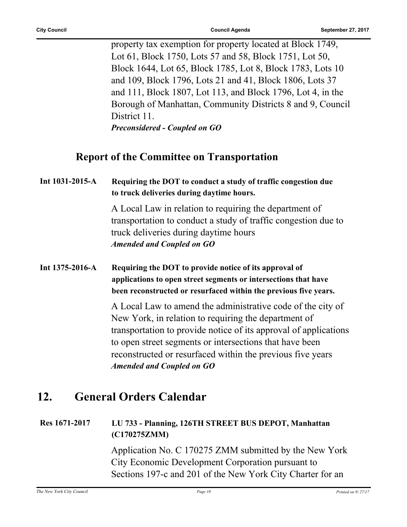property tax exemption for property located at Block 1749, Lot 61, Block 1750, Lots 57 and 58, Block 1751, Lot 50, Block 1644, Lot 65, Block 1785, Lot 8, Block 1783, Lots 10 and 109, Block 1796, Lots 21 and 41, Block 1806, Lots 37 and 111, Block 1807, Lot 113, and Block 1796, Lot 4, in the Borough of Manhattan, Community Districts 8 and 9, Council District 11. *Preconsidered - Coupled on GO*

#### **Report of the Committee on Transportation**

#### **Int 1031-2015-A Requiring the DOT to conduct a study of traffic congestion due to truck deliveries during daytime hours.**

A Local Law in relation to requiring the department of transportation to conduct a study of traffic congestion due to truck deliveries during daytime hours *Amended and Coupled on GO*

#### **Int 1375-2016-A Requiring the DOT to provide notice of its approval of applications to open street segments or intersections that have been reconstructed or resurfaced within the previous five years.**

A Local Law to amend the administrative code of the city of New York, in relation to requiring the department of transportation to provide notice of its approval of applications to open street segments or intersections that have been reconstructed or resurfaced within the previous five years *Amended and Coupled on GO*

### **12. General Orders Calendar**

#### **Res 1671-2017 LU 733 - Planning, 126TH STREET BUS DEPOT, Manhattan (C170275ZMM)**

Application No. C 170275 ZMM submitted by the New York City Economic Development Corporation pursuant to Sections 197-c and 201 of the New York City Charter for an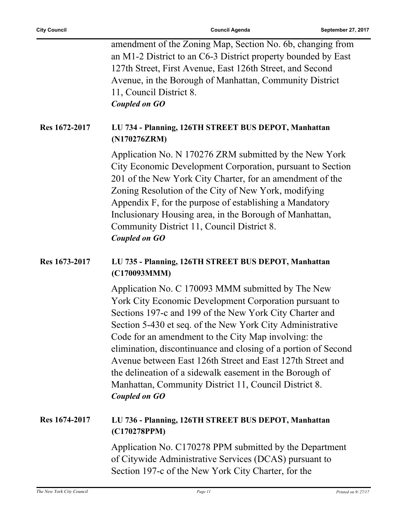|               | amendment of the Zoning Map, Section No. 6b, changing from<br>an M1-2 District to an C6-3 District property bounded by East<br>127th Street, First Avenue, East 126th Street, and Second<br>Avenue, in the Borough of Manhattan, Community District<br>11, Council District 8.<br><b>Coupled on GO</b>                                                                                                                                                                                                                                                                   |
|---------------|--------------------------------------------------------------------------------------------------------------------------------------------------------------------------------------------------------------------------------------------------------------------------------------------------------------------------------------------------------------------------------------------------------------------------------------------------------------------------------------------------------------------------------------------------------------------------|
| Res 1672-2017 | LU 734 - Planning, 126TH STREET BUS DEPOT, Manhattan<br>(N170276ZRM)                                                                                                                                                                                                                                                                                                                                                                                                                                                                                                     |
|               | Application No. N 170276 ZRM submitted by the New York<br>City Economic Development Corporation, pursuant to Section<br>201 of the New York City Charter, for an amendment of the<br>Zoning Resolution of the City of New York, modifying<br>Appendix F, for the purpose of establishing a Mandatory<br>Inclusionary Housing area, in the Borough of Manhattan,<br>Community District 11, Council District 8.<br><b>Coupled on GO</b>                                                                                                                                    |
| Res 1673-2017 | LU 735 - Planning, 126TH STREET BUS DEPOT, Manhattan<br>(C170093MMM)                                                                                                                                                                                                                                                                                                                                                                                                                                                                                                     |
|               | Application No. C 170093 MMM submitted by The New<br>York City Economic Development Corporation pursuant to<br>Sections 197-c and 199 of the New York City Charter and<br>Section 5-430 et seq. of the New York City Administrative<br>Code for an amendment to the City Map involving: the<br>elimination, discontinuance and closing of a portion of Second<br>Avenue between East 126th Street and East 127th Street and<br>the delineation of a sidewalk easement in the Borough of<br>Manhattan, Community District 11, Council District 8.<br><b>Coupled on GO</b> |
| Res 1674-2017 | LU 736 - Planning, 126TH STREET BUS DEPOT, Manhattan<br>(C170278PPM)                                                                                                                                                                                                                                                                                                                                                                                                                                                                                                     |
|               | Application No. C170278 PPM submitted by the Department<br>of Citywide Administrative Services (DCAS) pursuant to<br>Section 197-c of the New York City Charter, for the                                                                                                                                                                                                                                                                                                                                                                                                 |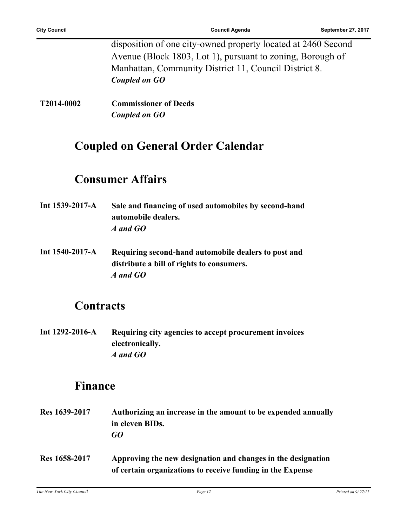disposition of one city-owned property located at 2460 Second Avenue (Block 1803, Lot 1), pursuant to zoning, Borough of Manhattan, Community District 11, Council District 8. *Coupled on GO*

**T2014-0002 Commissioner of Deeds** *Coupled on GO*

### **Coupled on General Order Calendar**

### **Consumer Affairs**

- **Int 1539-2017-A Sale and financing of used automobiles by second-hand automobile dealers.** *A and GO*
- **Int 1540-2017-A Requiring second-hand automobile dealers to post and distribute a bill of rights to consumers.** *A and GO*

### **Contracts**

**Int 1292-2016-A Requiring city agencies to accept procurement invoices electronically.** *A and GO*

### **Finance**

**Res 1639-2017 Authorizing an increase in the amount to be expended annually in eleven BIDs.** *GO* **Res 1658-2017 Approving the new designation and changes in the designation of certain organizations to receive funding in the Expense**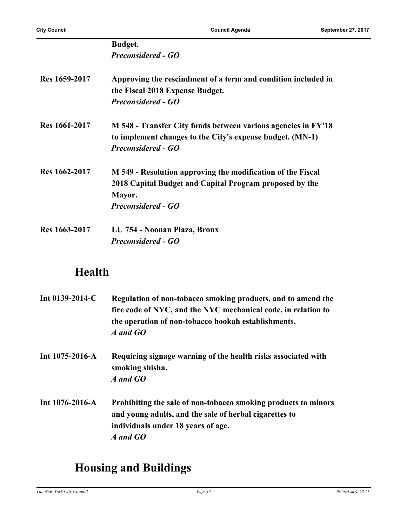|               | Budget.                                                       |
|---------------|---------------------------------------------------------------|
|               | <b>Preconsidered - GO</b>                                     |
| Res 1659-2017 | Approving the rescindment of a term and condition included in |
|               | the Fiscal 2018 Expense Budget.<br><b>Preconsidered - GO</b>  |
|               |                                                               |
| Res 1661-2017 | M 548 - Transfer City funds between various agencies in FY'18 |
|               | to implement changes to the City's expense budget. (MN-1)     |
|               | <b>Preconsidered - GO</b>                                     |
| Res 1662-2017 | M 549 - Resolution approving the modification of the Fiscal   |
|               | 2018 Capital Budget and Capital Program proposed by the       |
|               | Mayor.                                                        |
|               | <b>Preconsidered - GO</b>                                     |
| Res 1663-2017 | LU 754 - Noonan Plaza, Bronx                                  |
|               | <b>Preconsidered - GO</b>                                     |

### **Health**

| Int $0139-2014$ -C    | Regulation of non-tobacco smoking products, and to amend the<br>fire code of NYC, and the NYC mechanical code, in relation to<br>the operation of non-tobacco hookah establishments.<br>A and GO |
|-----------------------|--------------------------------------------------------------------------------------------------------------------------------------------------------------------------------------------------|
| Int $1075 - 2016 - A$ | Requiring signage warning of the health risks associated with<br>smoking shisha.<br>A and GO                                                                                                     |
| Int $1076 - 2016 - A$ | Prohibiting the sale of non-tobacco smoking products to minors<br>and young adults, and the sale of herbal cigarettes to<br>individuals under 18 years of age.<br>A and GO                       |

## **Housing and Buildings**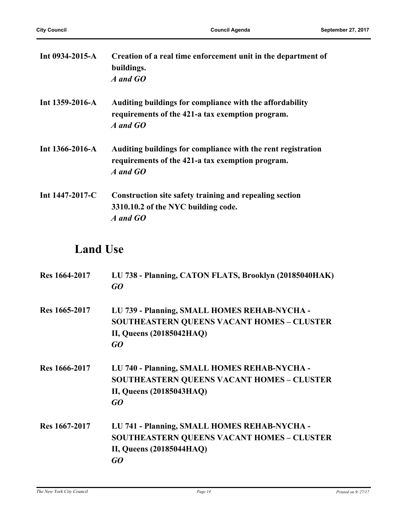| Int $0934 - 2015 - A$ | Creation of a real time enforcement unit in the department of<br>buildings.<br>A and GO                                      |
|-----------------------|------------------------------------------------------------------------------------------------------------------------------|
| Int $1359-2016-A$     | Auditing buildings for compliance with the affordability<br>requirements of the 421-a tax exemption program.<br>A and GO     |
| Int $1366 - 2016 - A$ | Auditing buildings for compliance with the rent registration<br>requirements of the 421-a tax exemption program.<br>A and GO |
| Int $1447-2017$ -C    | Construction site safety training and repealing section<br>3310.10.2 of the NYC building code.<br>A and GO                   |

### **Land Use**

| Res 1664-2017 | LU 738 - Planning, CATON FLATS, Brooklyn (20185040HAK)<br>GO                                                                               |
|---------------|--------------------------------------------------------------------------------------------------------------------------------------------|
| Res 1665-2017 | LU 739 - Planning, SMALL HOMES REHAB-NYCHA -<br><b>SOUTHEASTERN QUEENS VACANT HOMES - CLUSTER</b><br>II, Queens (20185042HAQ)<br>GO        |
| Res 1666-2017 | LU 740 - Planning, SMALL HOMES REHAB-NYCHA -<br><b>SOUTHEASTERN QUEENS VACANT HOMES - CLUSTER</b><br>II, Queens (20185043HAQ)<br>GO        |
| Res 1667-2017 | LU 741 - Planning, SMALL HOMES REHAB-NYCHA -<br><b>SOUTHEASTERN QUEENS VACANT HOMES - CLUSTER</b><br><b>II, Queens (20185044HAQ)</b><br>GO |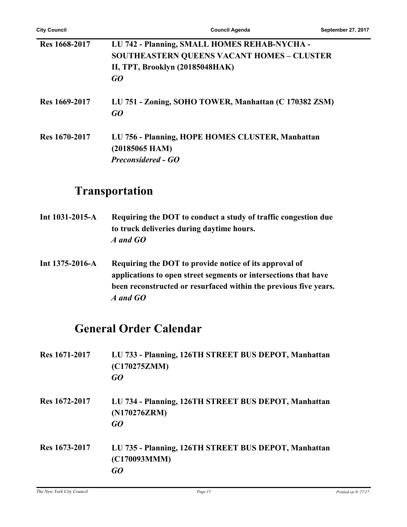| Res 1668-2017 | LU 742 - Planning, SMALL HOMES REHAB-NYCHA -<br><b>SOUTHEASTERN QUEENS VACANT HOMES - CLUSTER</b><br>II, TPT, Brooklyn (20185048HAK)<br>GO |
|---------------|--------------------------------------------------------------------------------------------------------------------------------------------|
| Res 1669-2017 | LU 751 - Zoning, SOHO TOWER, Manhattan (C 170382 ZSM)<br>GO                                                                                |
| Res 1670-2017 | LU 756 - Planning, HOPE HOMES CLUSTER, Manhattan<br>$(20185065$ HAM)<br><b>Preconsidered - GO</b>                                          |

### **Transportation**

| Int $1031 - 2015 - A$ | Requiring the DOT to conduct a study of traffic congestion due |
|-----------------------|----------------------------------------------------------------|
|                       | to truck deliveries during daytime hours.                      |
|                       | A and GO                                                       |

**Int 1375-2016-A Requiring the DOT to provide notice of its approval of applications to open street segments or intersections that have been reconstructed or resurfaced within the previous five years.** *A and GO*

### **General Order Calendar**

| Res 1671-2017 | LU 733 - Planning, 126TH STREET BUS DEPOT, Manhattan<br>(C170275ZMM)<br>GO |
|---------------|----------------------------------------------------------------------------|
| Res 1672-2017 | LU 734 - Planning, 126TH STREET BUS DEPOT, Manhattan<br>(N170276ZRM)<br>GO |
| Res 1673-2017 | LU 735 - Planning, 126TH STREET BUS DEPOT, Manhattan<br>(C170093MMM)<br>GO |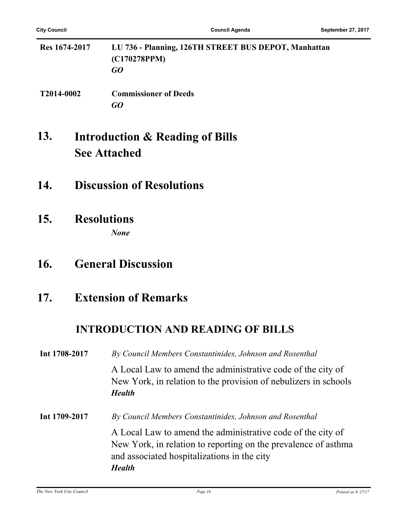| Res 1674-2017 | LU 736 - Planning, 126TH STREET BUS DEPOT, Manhattan<br>(C170278PPM)<br>GO |
|---------------|----------------------------------------------------------------------------|
| T2014-0002    | <b>Commissioner of Deeds</b>                                               |

#### **Introduction & Reading of Bills See Attached 13.**

- **14. Discussion of Resolutions**
- **15. Resolutions** *None*

### **16. General Discussion**

### **17. Extension of Remarks**

### **INTRODUCTION AND READING OF BILLS**

**Int 1708-2017** *By Council Members Constantinides, Johnson and Rosenthal* A Local Law to amend the administrative code of the city of New York, in relation to the provision of nebulizers in schools *Health* **Int 1709-2017** *By Council Members Constantinides, Johnson and Rosenthal* A Local Law to amend the administrative code of the city of New York, in relation to reporting on the prevalence of asthma and associated hospitalizations in the city *Health*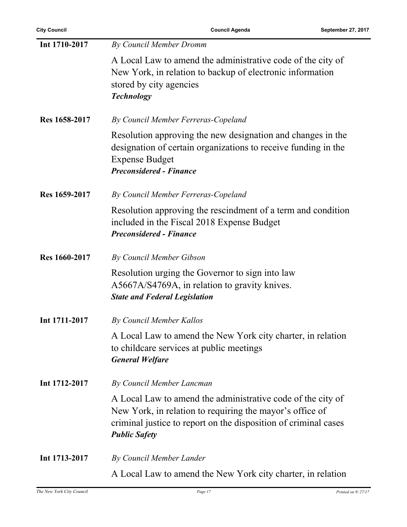| Int 1710-2017 | By Council Member Dromm                                                                                                                                                                                            |
|---------------|--------------------------------------------------------------------------------------------------------------------------------------------------------------------------------------------------------------------|
|               | A Local Law to amend the administrative code of the city of<br>New York, in relation to backup of electronic information<br>stored by city agencies<br><b>Technology</b>                                           |
| Res 1658-2017 | By Council Member Ferreras-Copeland                                                                                                                                                                                |
|               | Resolution approving the new designation and changes in the<br>designation of certain organizations to receive funding in the<br><b>Expense Budget</b><br><b>Preconsidered - Finance</b>                           |
| Res 1659-2017 | By Council Member Ferreras-Copeland                                                                                                                                                                                |
|               | Resolution approving the rescindment of a term and condition<br>included in the Fiscal 2018 Expense Budget<br><b>Preconsidered - Finance</b>                                                                       |
| Res 1660-2017 | By Council Member Gibson                                                                                                                                                                                           |
|               | Resolution urging the Governor to sign into law<br>A5667A/S4769A, in relation to gravity knives.<br><b>State and Federal Legislation</b>                                                                           |
| Int 1711-2017 | By Council Member Kallos                                                                                                                                                                                           |
|               | A Local Law to amend the New York city charter, in relation<br>to childcare services at public meetings<br><b>General Welfare</b>                                                                                  |
| Int 1712-2017 | By Council Member Lancman                                                                                                                                                                                          |
|               | A Local Law to amend the administrative code of the city of<br>New York, in relation to requiring the mayor's office of<br>criminal justice to report on the disposition of criminal cases<br><b>Public Safety</b> |
| Int 1713-2017 | By Council Member Lander                                                                                                                                                                                           |
|               | A Local Law to amend the New York city charter, in relation                                                                                                                                                        |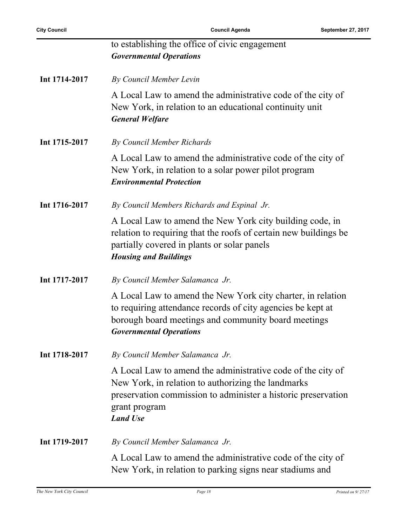|               | to establishing the office of civic engagement<br><b>Governmental Operations</b>                                                                                                                                       |
|---------------|------------------------------------------------------------------------------------------------------------------------------------------------------------------------------------------------------------------------|
| Int 1714-2017 | By Council Member Levin                                                                                                                                                                                                |
|               | A Local Law to amend the administrative code of the city of<br>New York, in relation to an educational continuity unit<br><b>General Welfare</b>                                                                       |
| Int 1715-2017 | By Council Member Richards                                                                                                                                                                                             |
|               | A Local Law to amend the administrative code of the city of<br>New York, in relation to a solar power pilot program<br><b>Environmental Protection</b>                                                                 |
| Int 1716-2017 | By Council Members Richards and Espinal Jr.                                                                                                                                                                            |
|               | A Local Law to amend the New York city building code, in<br>relation to requiring that the roofs of certain new buildings be<br>partially covered in plants or solar panels<br><b>Housing and Buildings</b>            |
| Int 1717-2017 | By Council Member Salamanca Jr.                                                                                                                                                                                        |
|               | A Local Law to amend the New York city charter, in relation<br>to requiring attendance records of city agencies be kept at<br>borough board meetings and community board meetings<br><b>Governmental Operations</b>    |
| Int 1718-2017 | By Council Member Salamanca Jr.                                                                                                                                                                                        |
|               | A Local Law to amend the administrative code of the city of<br>New York, in relation to authorizing the landmarks<br>preservation commission to administer a historic preservation<br>grant program<br><b>Land Use</b> |
| Int 1719-2017 | By Council Member Salamanca Jr.                                                                                                                                                                                        |
|               | A Local Law to amend the administrative code of the city of<br>New York, in relation to parking signs near stadiums and                                                                                                |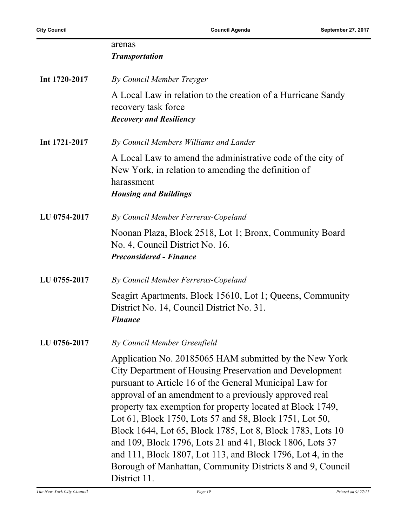|               | arenas<br><b>Transportation</b>                                                                                                                                                                                                                                                                                                                                                                                                                                                                                                                                                                                                        |
|---------------|----------------------------------------------------------------------------------------------------------------------------------------------------------------------------------------------------------------------------------------------------------------------------------------------------------------------------------------------------------------------------------------------------------------------------------------------------------------------------------------------------------------------------------------------------------------------------------------------------------------------------------------|
| Int 1720-2017 | By Council Member Treyger                                                                                                                                                                                                                                                                                                                                                                                                                                                                                                                                                                                                              |
|               | A Local Law in relation to the creation of a Hurricane Sandy<br>recovery task force<br><b>Recovery and Resiliency</b>                                                                                                                                                                                                                                                                                                                                                                                                                                                                                                                  |
| Int 1721-2017 | By Council Members Williams and Lander                                                                                                                                                                                                                                                                                                                                                                                                                                                                                                                                                                                                 |
|               | A Local Law to amend the administrative code of the city of<br>New York, in relation to amending the definition of<br>harassment<br><b>Housing and Buildings</b>                                                                                                                                                                                                                                                                                                                                                                                                                                                                       |
| LU 0754-2017  | By Council Member Ferreras-Copeland                                                                                                                                                                                                                                                                                                                                                                                                                                                                                                                                                                                                    |
|               | Noonan Plaza, Block 2518, Lot 1; Bronx, Community Board<br>No. 4, Council District No. 16.<br><b>Preconsidered - Finance</b>                                                                                                                                                                                                                                                                                                                                                                                                                                                                                                           |
| LU 0755-2017  | By Council Member Ferreras-Copeland                                                                                                                                                                                                                                                                                                                                                                                                                                                                                                                                                                                                    |
|               | Seagirt Apartments, Block 15610, Lot 1; Queens, Community<br>District No. 14, Council District No. 31.<br><b>Finance</b>                                                                                                                                                                                                                                                                                                                                                                                                                                                                                                               |
| LU 0756-2017  | By Council Member Greenfield                                                                                                                                                                                                                                                                                                                                                                                                                                                                                                                                                                                                           |
|               | Application No. 20185065 HAM submitted by the New York<br>City Department of Housing Preservation and Development<br>pursuant to Article 16 of the General Municipal Law for<br>approval of an amendment to a previously approved real<br>property tax exemption for property located at Block 1749,<br>Lot 61, Block 1750, Lots 57 and 58, Block 1751, Lot 50,<br>Block 1644, Lot 65, Block 1785, Lot 8, Block 1783, Lots 10<br>and 109, Block 1796, Lots 21 and 41, Block 1806, Lots 37<br>and 111, Block 1807, Lot 113, and Block 1796, Lot 4, in the<br>Borough of Manhattan, Community Districts 8 and 9, Council<br>District 11. |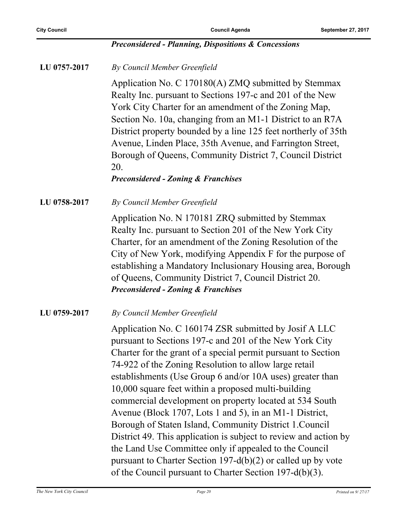#### *Preconsidered - Planning, Dispositions & Concessions*

**LU 0757-2017** *By Council Member Greenfield*

Application No. C 170180(A) ZMQ submitted by Stemmax Realty Inc. pursuant to Sections 197-c and 201 of the New York City Charter for an amendment of the Zoning Map, Section No. 10a, changing from an M1-1 District to an R7A District property bounded by a line 125 feet northerly of 35th Avenue, Linden Place, 35th Avenue, and Farrington Street, Borough of Queens, Community District 7, Council District 20.

#### *Preconsidered - Zoning & Franchises*

**LU 0758-2017** *By Council Member Greenfield*

Application No. N 170181 ZRQ submitted by Stemmax Realty Inc. pursuant to Section 201 of the New York City Charter, for an amendment of the Zoning Resolution of the City of New York, modifying Appendix F for the purpose of establishing a Mandatory Inclusionary Housing area, Borough of Queens, Community District 7, Council District 20. *Preconsidered - Zoning & Franchises*

**LU 0759-2017** *By Council Member Greenfield*

Application No. C 160174 ZSR submitted by Josif A LLC pursuant to Sections 197-c and 201 of the New York City Charter for the grant of a special permit pursuant to Section 74-922 of the Zoning Resolution to allow large retail establishments (Use Group 6 and/or 10A uses) greater than 10,000 square feet within a proposed multi-building commercial development on property located at 534 South Avenue (Block 1707, Lots 1 and 5), in an M1-1 District, Borough of Staten Island, Community District 1.Council District 49. This application is subject to review and action by the Land Use Committee only if appealed to the Council pursuant to Charter Section 197-d(b)(2) or called up by vote of the Council pursuant to Charter Section 197-d(b)(3).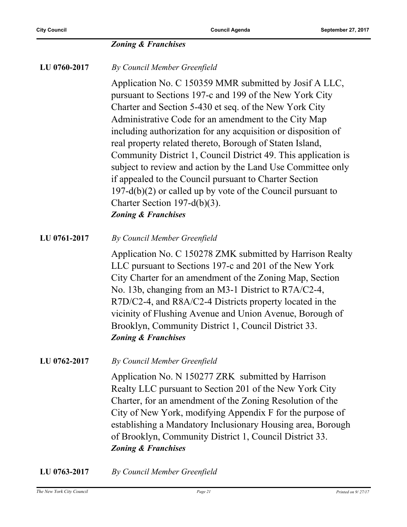#### *Zoning & Franchises*

**LU 0760-2017** *By Council Member Greenfield*

Application No. C 150359 MMR submitted by Josif A LLC, pursuant to Sections 197-c and 199 of the New York City Charter and Section 5-430 et seq. of the New York City Administrative Code for an amendment to the City Map including authorization for any acquisition or disposition of real property related thereto, Borough of Staten Island, Community District 1, Council District 49. This application is subject to review and action by the Land Use Committee only if appealed to the Council pursuant to Charter Section 197-d(b)(2) or called up by vote of the Council pursuant to Charter Section 197-d(b)(3). *Zoning & Franchises*

**LU 0761-2017** *By Council Member Greenfield*

Application No. C 150278 ZMK submitted by Harrison Realty LLC pursuant to Sections 197-c and 201 of the New York City Charter for an amendment of the Zoning Map, Section No. 13b, changing from an M3-1 District to R7A/C2-4, R7D/C2-4, and R8A/C2-4 Districts property located in the vicinity of Flushing Avenue and Union Avenue, Borough of Brooklyn, Community District 1, Council District 33. *Zoning & Franchises*

**LU 0762-2017** *By Council Member Greenfield*

Application No. N 150277 ZRK submitted by Harrison Realty LLC pursuant to Section 201 of the New York City Charter, for an amendment of the Zoning Resolution of the City of New York, modifying Appendix F for the purpose of establishing a Mandatory Inclusionary Housing area, Borough of Brooklyn, Community District 1, Council District 33. *Zoning & Franchises*

**LU 0763-2017** *By Council Member Greenfield*